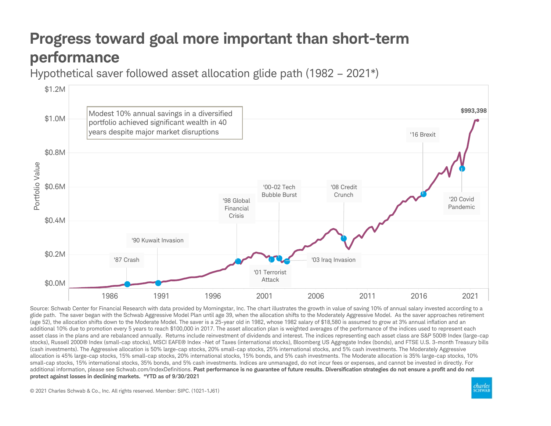## Progress toward goal more important than short-term performance

Hypothetical saver followed asset allocation glide path (1982 – 2021\*)



Source: Schwab Center for Financial Research with data provided by Morningstar, Inc. The chart illustrates the growth in value of saving 10% of annual salary invested according to a glide path. The saver began with the Schwab Aggressive Model Plan until age 39, when the allocation shifts to the Moderately Aggressive Model. As the saver approaches retirement (age 52), the allocation shifts down to the Moderate Model. The saver is a 25-year old in 1982, whose 1982 salary of \$18,580 is assumed to grow at 3% annual inflation and an additional 10% due to promotion every 5 years to reach \$100,000 in 2017. The asset allocation plan is weighted averages of the performance of the indices used to represent each asset class in the plans and are rebalanced annually. Returns include reinvestment of dividends and interest. The indices representing each asset class are S&P 500® Index (large-cap stocks), Russell 2000® Index (small-cap stocks), MSCI EAFE® Index -Net of Taxes (international stocks), Bloomberg US Aggregate Index (bonds), and FTSE U.S. 3-month Treasury bills (cash investments). The Aggressive allocation is 50% large-cap stocks, 20% small-cap stocks, 25% international stocks, and 5% cash investments. The Moderately Aggressive allocation is 45% large-cap stocks, 15% small-cap stocks, 20% international stocks, 15% bonds, and 5% cash investments. The Moderate allocation is 35% large-cap stocks, 10% small-cap stocks, 15% international stocks, 35% bonds, and 5% cash investments. Indices are unmanaged, do not incur fees or expenses, and cannot be invested in directly. For additional information, please see Schwab.com/IndexDefinitions. Past performance is no guarantee of future results. Diversification strategies do not ensure a profit and do not protect against losses in declining markets. \*YTD as of 9/30/2021